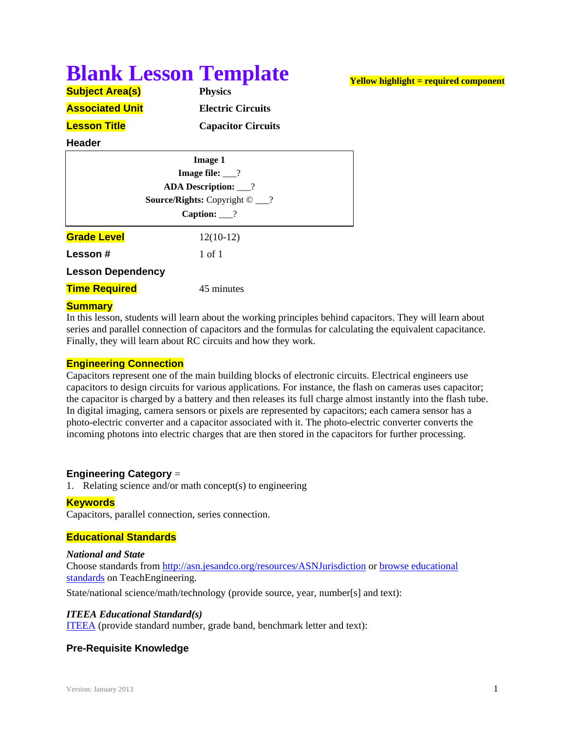# **Blank Lesson Template**

| <b>Subject Area(s)</b> | <b>Physics</b> |
|------------------------|----------------|
| <b>Associated Unit</b> | Electric       |
| <b>Lesson Title</b>    | Capacit        |

**Associated Unit Electric Circuits Lesson Title Capacitor Circuits**

# **Header**

| <b>Image 1</b><br>Image file: $\frac{?}{?}$<br><b>ADA Description:</b> 1 |             |  |  |                                             |  |
|--------------------------------------------------------------------------|-------------|--|--|---------------------------------------------|--|
|                                                                          |             |  |  | <b>Source/Rights:</b> Copyright $\odot$ __? |  |
|                                                                          |             |  |  | Caption: $\frac{?}{?}$                      |  |
| <b>Grade Level</b>                                                       | $12(10-12)$ |  |  |                                             |  |
| Lesson#                                                                  | 1 of 1      |  |  |                                             |  |
| <b>Lesson Dependency</b>                                                 |             |  |  |                                             |  |
| <b>Time Required</b>                                                     | 45 minutes  |  |  |                                             |  |
|                                                                          |             |  |  |                                             |  |

#### **Summary**

In this lesson, students will learn about the working principles behind capacitors. They will learn about series and parallel connection of capacitors and the formulas for calculating the equivalent capacitance. Finally, they will learn about RC circuits and how they work.

# **Engineering Connection**

Capacitors represent one of the main building blocks of electronic circuits. Electrical engineers use capacitors to design circuits for various applications. For instance, the flash on cameras uses capacitor; the capacitor is charged by a battery and then releases its full charge almost instantly into the flash tube. In digital imaging, camera sensors or pixels are represented by capacitors; each camera sensor has a photo-electric converter and a capacitor associated with it. The photo-electric converter converts the incoming photons into electric charges that are then stored in the capacitors for further processing.

# **Engineering Category** =

1. Relating science and/or math concept(s) to engineering

# **Keywords**

Capacitors, parallel connection, series connection.

# **Educational Standards**

#### *National and State*

Choose standards from http://asn.jesandco.org/resources/ASNJurisdiction or browse educational standards on TeachEngineering.

State/national science/math/technology (provide source, year, number[s] and text):

#### *ITEEA Educational Standard(s)*

ITEEA (provide standard number, grade band, benchmark letter and text):

# **Pre-Requisite Knowledge**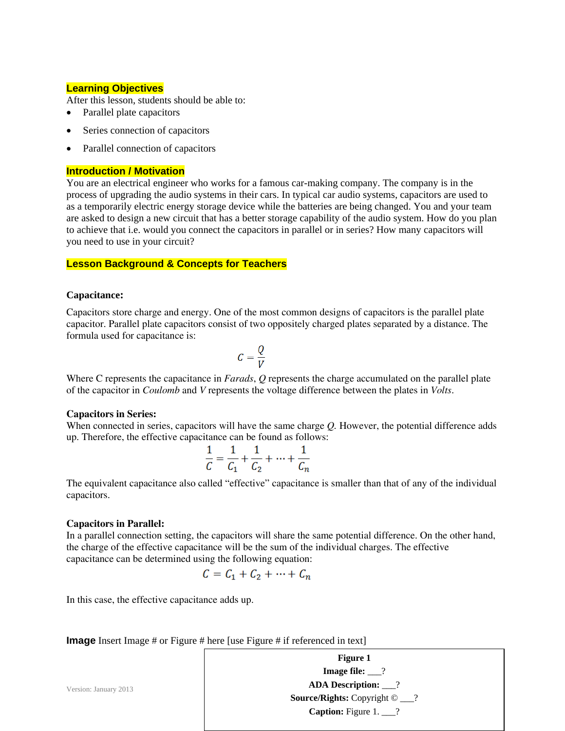#### **Learning Objectives**

After this lesson, students should be able to:

- Parallel plate capacitors
- Series connection of capacitors
- Parallel connection of capacitors

#### **Introduction / Motivation**

You are an electrical engineer who works for a famous car-making company. The company is in the process of upgrading the audio systems in their cars. In typical car audio systems, capacitors are used to as a temporarily electric energy storage device while the batteries are being changed. You and your team are asked to design a new circuit that has a better storage capability of the audio system. How do you plan to achieve that i.e. would you connect the capacitors in parallel or in series? How many capacitors will you need to use in your circuit?

#### **Lesson Background & Concepts for Teachers**

#### **Capacitance:**

Capacitors store charge and energy. One of the most common designs of capacitors is the parallel plate capacitor. Parallel plate capacitors consist of two oppositely charged plates separated by a distance. The formula used for capacitance is:

$$
C=\frac{Q}{V}
$$

Where C represents the capacitance in *Farads*, *Q* represents the charge accumulated on the parallel plate of the capacitor in *Coulomb* and *V* represents the voltage difference between the plates in *Volts*.

#### **Capacitors in Series:**

When connected in series, capacitors will have the same charge *Q.* However, the potential difference adds up. Therefore, the effective capacitance can be found as follows:

$$
\frac{1}{C} = \frac{1}{C_1} + \frac{1}{C_2} + \dots + \frac{1}{C_n}
$$

The equivalent capacitance also called "effective" capacitance is smaller than that of any of the individual capacitors.

#### **Capacitors in Parallel:**

In a parallel connection setting, the capacitors will share the same potential difference. On the other hand, the charge of the effective capacitance will be the sum of the individual charges. The effective capacitance can be determined using the following equation:

$$
C = C_1 + C_2 + \dots + C_n
$$

In this case, the effective capacitance adds up.

**Image** Insert Image # or Figure # here [use Figure # if referenced in text]

|                       | <b>Figure 1</b>                             |
|-----------------------|---------------------------------------------|
|                       | <b>Image file:</b> $\_\$ ?                  |
| Version: January 2013 | <b>ADA Description:</b> ___?                |
|                       | <b>Source/Rights:</b> Copyright $\odot$ __? |
|                       | <b>Caption:</b> Figure $1. \_\_\$ ?         |